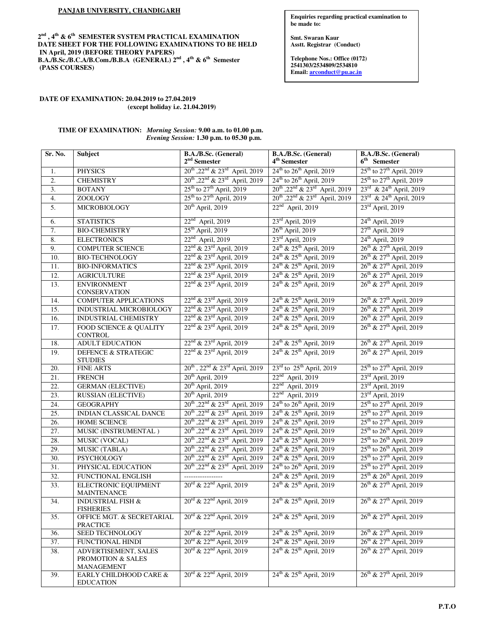## **PANJAB UNIVERSITY, CHANDIGARH**

**2 nd , 4th & 6th SEMESTER SYSTEM PRACTICAL EXAMINATION DATE SHEET FOR THE FOLLOWING EXAMINATIONS TO BE HELD IN April, 2019 (BEFORE THEORY PAPERS) B.A./B.Sc./B.C.A/B.Com./B.B.A (GENERAL) 2nd , 4th & 6th Semester (PASS COURSES)** 

#### **Enquiries regarding practical examination to be made to:**

**Sh. Kewal Kumar Smt. Swaran Kaur Asstt. Registrar (Conduct)** 

**Telephone Nos.: Office (0172) 2541303/2534809/2534810 Email: arconduct@pu.ac.in**

# **DATE OF EXAMINATION: 20.04.2019 to 27.04.2019 (except holiday i.e. 21.04.2019)**

# **TIME OF EXAMINATION:** *Morning Session:* **9.00 a.m. to 01.00 p.m.** *Evening Session:* **1.30 p.m. to 05.30 p.m.**

| Sr. No.           | Subject                                           | B.A./B.Sc. (General)<br>$2nd$ Semester                             | B.A./B.Sc. (General)<br>4 <sup>th</sup> Semester                   | B.A./B.Sc. (General)<br>$6th$ Semester           |
|-------------------|---------------------------------------------------|--------------------------------------------------------------------|--------------------------------------------------------------------|--------------------------------------------------|
| 1.                | <b>PHYSICS</b>                                    | 20 <sup>th</sup> , 22 <sup>nd</sup> & 23 <sup>rd</sup> April, 2019 | 24 <sup>th</sup> to 26 <sup>th</sup> April, 2019                   | 25 <sup>th</sup> to 27 <sup>th</sup> April, 2019 |
| $\overline{2}$ .  | <b>CHEMISTRY</b>                                  | $20^{th}$ , $22^{nd}$ & $23^{rd}$ April, 2019                      | 24 <sup>th</sup> to 26 <sup>th</sup> April, 2019                   | $25^{\text{th}}$ to $27^{\text{th}}$ April, 2019 |
| $\overline{3}$ .  | <b>BOTANY</b>                                     | 25 <sup>th</sup> to 27 <sup>th</sup> April, 2019                   | $20^{th}$ , $22^{nd}$ & $23^{rd}$ April, 2019                      | $23^{\text{rd}}$ & $24^{\text{th}}$ April, 2019  |
| $\overline{4}$ .  | <b>ZOOLOGY</b>                                    | $25th$ to $27th$ April, 2019                                       | 20 <sup>th</sup> , 22 <sup>nd</sup> & 23 <sup>rd</sup> April, 2019 | 23rd & 24 <sup>th</sup> April, 2019              |
| 5.                | MICROBIOLOGY                                      | $20th$ April, 2019                                                 | $22nd$ April, 2019                                                 | $23^{\text{rd}}$ April, 2019                     |
| 6.                | <b>STATISTICS</b>                                 | $22nd$ April, 2019                                                 | $23^{\text{rd}}$ April, 2019                                       | $24th$ April, 2019                               |
| 7.                | <b>BIO-CHEMISTRY</b>                              | $25th$ April, 2019                                                 | 26 <sup>th</sup> April, 2019                                       | $27th$ April, 2019                               |
| 8.                | <b>ELECTRONICS</b>                                | $22nd$ April, 2019                                                 | $23^{\text{rd}}$ April, 2019                                       | $24th$ April, 2019                               |
| 9.                | <b>COMPUTER SCIENCE</b>                           | 22 <sup>nd</sup> & 23 <sup>rd</sup> April, 2019                    | 24 <sup>th</sup> & 25 <sup>th</sup> April, 2019                    | 26 <sup>th</sup> & 27 <sup>th</sup> April, 2019  |
| 10.               | <b>BIO-TECHNOLOGY</b>                             | 22 <sup>nd</sup> & 23 <sup>rd</sup> April, 2019                    | 24 <sup>th</sup> & 25 <sup>th</sup> April, 2019                    | 26 <sup>th</sup> & 27 <sup>th</sup> April, 2019  |
| 11.               | <b>BIO-INFORMATICS</b>                            | 22 <sup>nd</sup> & 23 <sup>rd</sup> April, 2019                    | 24 <sup>th</sup> & 25 <sup>th</sup> April, 2019                    | 26 <sup>th</sup> & 27 <sup>th</sup> April, 2019  |
| 12.               | <b>AGRICULTURE</b>                                | 22 <sup>nd</sup> & 23 <sup>rd</sup> April, 2019                    | 24 <sup>th</sup> & 25 <sup>th</sup> April, 2019                    | 26 <sup>th</sup> & 27 <sup>th</sup> April, 2019  |
| 13.               | <b>ENVIRONMENT</b><br>CONSERVATION                | $22^{nd}$ & $23^{rd}$ April, 2019                                  | 24 <sup>th</sup> & 25 <sup>th</sup> April, 2019                    | 26 <sup>th</sup> & 27 <sup>th</sup> April, 2019  |
| 14.               | <b>COMPUTER APPLICATIONS</b>                      | 22 <sup>nd</sup> & 23 <sup>rd</sup> April, 2019                    | 24 <sup>th</sup> & 25 <sup>th</sup> April, 2019                    | 26 <sup>th</sup> & 27 <sup>th</sup> April, 2019  |
| 15.               | INDUSTRIAL MICROBIOLOGY                           | 22 <sup>nd</sup> & 23 <sup>rd</sup> April, 2019                    | 24 <sup>th</sup> & 25 <sup>th</sup> April, 2019                    | 26 <sup>th</sup> & 27 <sup>th</sup> April, 2019  |
| 16.               | INDUSTRIAL CHEMISTRY                              | 22 <sup>nd</sup> & 23 <sup>rd</sup> April, 2019                    | 24 <sup>th</sup> & 25 <sup>th</sup> April, 2019                    | 26 <sup>th</sup> & 27 <sup>th</sup> April, 2019  |
| 17.               | FOOD SCIENCE & QUALITY<br>CONTROL                 | 22 <sup>nd</sup> & 23 <sup>rd</sup> April, 2019                    | 24 <sup>th</sup> & 25 <sup>th</sup> April, 2019                    | 26 <sup>th</sup> & 27 <sup>th</sup> April, 2019  |
| 18.               | <b>ADULT EDUCATION</b>                            | 22 <sup>nd</sup> & 23 <sup>rd</sup> April, 2019                    | 24 <sup>th</sup> & 25 <sup>th</sup> April, 2019                    | 26 <sup>th</sup> & 27 <sup>th</sup> April, 2019  |
| 19.               | DEFENCE & STRATEGIC<br><b>STUDIES</b>             | 22 <sup>nd</sup> & 23 <sup>rd</sup> April, 2019                    | 24 <sup>th</sup> & 25 <sup>th</sup> April, 2019                    | 26 <sup>th</sup> & 27 <sup>th</sup> April, 2019  |
| 20.               | <b>FINE ARTS</b>                                  | 20 <sup>th</sup> , 22 <sup>nd</sup> & 23 <sup>rd</sup> April, 2019 | $23rd$ to $25th$ April, 2019                                       | 25 <sup>th</sup> to 27 <sup>th</sup> April, 2019 |
| 21.               | <b>FRENCH</b>                                     | $20th$ April, 2019                                                 | $22nd$ April, 2019                                                 | $23rd$ April, 2019                               |
| 22.               | <b>GERMAN</b> (ELECTIVE)                          | $20th$ April, 2019                                                 | $22nd$ April, 2019                                                 | $23rd$ April, 2019                               |
| 23.               | <b>RUSSIAN (ELECTIVE)</b>                         | $20th$ April, 2019                                                 | $22nd$ April, 2019                                                 | 23rd April, 2019                                 |
| 24.               | <b>GEOGRAPHY</b>                                  | $20^{th}$ , $22^{nd}$ & $23^{rd}$ April, 2019                      | $24th$ to $26th$ April, 2019                                       | $25th$ to $27th$ April, 2019                     |
| $\overline{25}$ . | INDIAN CLASSICAL DANCE                            | 20 <sup>th</sup> ,22 <sup>nd</sup> & 23 <sup>rd</sup> April, 2019  | 24 <sup>th</sup> & 25 <sup>th</sup> April, 2019                    | 25 <sup>th</sup> to 27 <sup>th</sup> April, 2019 |
| 26.               | HOME SCIENCE                                      | 20 <sup>th</sup> , 22 <sup>nd</sup> & 23 <sup>rd</sup> April, 2019 | 24 <sup>th</sup> & 25 <sup>th</sup> April, 2019                    | $25^{\text{th}}$ to $27^{\text{th}}$ April, 2019 |
| 27.               | MUSIC (INSTRUMENTAL)                              | 20 <sup>th</sup> ,22 <sup>nd</sup> & 23 <sup>rd</sup> April, 2019  | 24 <sup>th</sup> & 25 <sup>th</sup> April, 2019                    | 25 <sup>th</sup> to 26 <sup>th</sup> April, 2019 |
| 28.               | MUSIC (VOCAL)                                     | 20 <sup>th</sup> ,22 <sup>nd</sup> & 23 <sup>rd</sup> April, 2019  | 24 <sup>th</sup> & 25 <sup>th</sup> April, 2019                    | $25th$ to $26th$ April, 2019                     |
| 29.               | <b>MUSIC (TABLA)</b>                              | 20 <sup>th</sup> ,22 <sup>nd</sup> & 23 <sup>rd</sup> April, 2019  | 24 <sup>th</sup> & 25 <sup>th</sup> April, 2019                    | 25 <sup>th</sup> to 26 <sup>th</sup> April, 2019 |
| 30.               | <b>PSYCHOLOGY</b>                                 | 20 <sup>th</sup> , 22 <sup>nd</sup> & 23 <sup>rd</sup> April, 2019 | $24^{\text{th}}$ & $25^{\text{th}}$ April, 2019                    | $25th$ to $27th$ April, 2019                     |
| 31.               | PHYSICAL EDUCATION                                | 20 <sup>th</sup> , 22 <sup>nd</sup> & 23 <sup>rd</sup> April, 2019 | 24 <sup>th</sup> to 26 <sup>th</sup> April, 2019                   | $25th$ to $27th$ April, 2019                     |
| 32.               | FUNCTIONAL ENGLISH                                |                                                                    | 24 <sup>th</sup> & 25 <sup>th</sup> April, 2019                    | 25 <sup>th</sup> & 26 <sup>th</sup> April, 2019  |
| 33.               | <b>ELECTRONIC EQUIPMENT</b><br><b>MAINTENANCE</b> | 20rd & 22 <sup>nd</sup> April, 2019                                | 24 <sup>th</sup> & 25 <sup>th</sup> April, 2019                    | $26^{th}$ & $27^{th}$ April, 2019                |
| 34.               | <b>INDUSTRIAL FISH &amp;</b><br><b>FISHERIES</b>  | $20^{\text{rd}}$ & $22^{\text{nd}}$ April, 2019                    | 24 <sup>th</sup> & 25 <sup>th</sup> April, 2019                    | 26 <sup>th</sup> & 27 <sup>th</sup> April, 2019  |
| 35.               | OFFICE MGT. & SECRETARIAL<br><b>PRACTICE</b>      | $20^{rd}$ & $22^{nd}$ April, 2019                                  | 24 <sup>th</sup> & 25 <sup>th</sup> April, 2019                    | 26 <sup>th</sup> & 27 <sup>th</sup> April, 2019  |
| 36.               | SEED TECHNOLOGY                                   | $20^{\text{rd}}$ & $22^{\text{nd}}$ April, 2019                    | $24^{th}$ & $25^{th}$ April, 2019                                  | $26^{th}$ & $27^{th}$ April, 2019                |
| 37.               | FUNCTIONAL HINDI                                  | 20rd & 22 <sup>nd</sup> April, 2019                                | $24^{th}$ & $25^{th}$ April, 2019                                  | 26 <sup>th</sup> & 27 <sup>th</sup> April, 2019  |
| 38.               | ADVERTISEMENT, SALES                              | $20^{rd}$ & $22^{nd}$ April, 2019                                  | $24^{th}$ & $25^{th}$ April, 2019                                  | $26^{th}$ & $27^{th}$ April, 2019                |
|                   | PROMOTION & SALES<br>MANAGEMENT                   |                                                                    |                                                                    |                                                  |
| 39.               | EARLY CHILDHOOD CARE &<br><b>EDUCATION</b>        | $20^{rd}$ & $22^{nd}$ April, 2019                                  | 24 <sup>th</sup> & 25 <sup>th</sup> April, 2019                    | 26 <sup>th</sup> & 27 <sup>th</sup> April, 2019  |